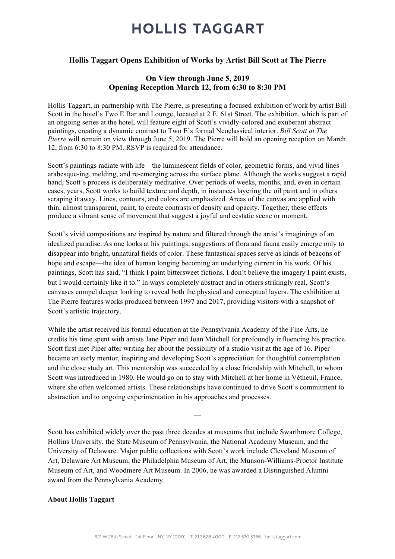# **HOLLIS TAGGART**

### Hollis Taggart Opens Exhibition of Works by Artist Bill Scott at The Pierre

### On View through June 5, 2019 Opening Reception March 12, from 6:30 to 8:30 PM

Hollis Taggart, in partnership with The Pierre, is presenting a focused exhibition of work by artist Bill Scott in the hotel's Two E Bar and Lounge, located at 2 E. 61st Street. The exhibition, which is part of an ongoing series at the hotel, will feature eight of Scott's vividly-colored and exuberant abstract paintings, creating a dynamic contrast to Two E's formal Neoclassical interior. *Bill Scott at The Pierre* will remain on view through June 5, 2019. The Pierre will hold an opening reception on March 12, from 6:30 to 8:30 PM. RSVP is required for attendance.

Scott's paintings radiate with life—the luminescent fields of color, geometric forms, and vivid lines arabesque-ing, melding, and re-emerging across the surface plane. Although the works suggest a rapid hand, Scott's process is deliberately meditative. Over periods of weeks, months, and, even in certain cases, years, Scott works to build texture and depth, in instances layering the oil paint and in others scraping it away. Lines, contours, and colors are emphasized. Areas of the canvas are applied with thin, almost transparent, paint, to create contrasts of density and opacity. Together, these effects produce a vibrant sense of movement that suggest a joyful and ecstatic scene or moment.

Scott's vivid compositions are inspired by nature and filtered through the artist's imaginings of an idealized paradise. As one looks at his paintings, suggestions of flora and fauna easily emerge only to disappear into bright, unnatural fields of color. These fantastical spaces serve as kinds of beacons of hope and escape—the idea of human longing becoming an underlying current in his work. Of his paintings, Scott has said, "I think I paint bittersweet fictions. I don't believe the imagery I paint exists, but I would certainly like it to." In ways completely abstract and in others strikingly real, Scott's canvases compel deeper looking to reveal both the physical and conceptual layers. The exhibition at The Pierre features works produced between 1997 and 2017, providing visitors with a snapshot of Scott's artistic trajectory.

While the artist received his formal education at the Pennsylvania Academy of the Fine Arts, he credits his time spent with artists Jane Piper and Joan Mitchell for profoundly influencing his practice. Scott first met Piper after writing her about the possibility of a studio visit at the age of 16. Piper became an early mentor, inspiring and developing Scott's appreciation for thoughtful contemplation and the close study art. This mentorship was succeeded by a close friendship with Mitchell, to whom Scott was introduced in 1980. He would go on to stay with Mitchell at her home in Vétheuil, France, where she often welcomed artists. These relationships have continued to drive Scott's commitment to abstraction and to ongoing experimentation in his approaches and processes.

Scott has exhibited widely over the past three decades at museums that include Swarthmore College, Hollins University, the State Museum of Pennsylvania, the National Academy Museum, and the University of Delaware. Major public collections with Scott's work include Cleveland Museum of Art, Delaware Art Museum, the Philadelphia Museum of Art, the Munson-Williams-Proctor Institute Museum of Art, and Woodmere Art Museum. In 2006, he was awarded a Distinguished Alumni award from the Pennsylvania Academy.

—

#### About Hollis Taggart